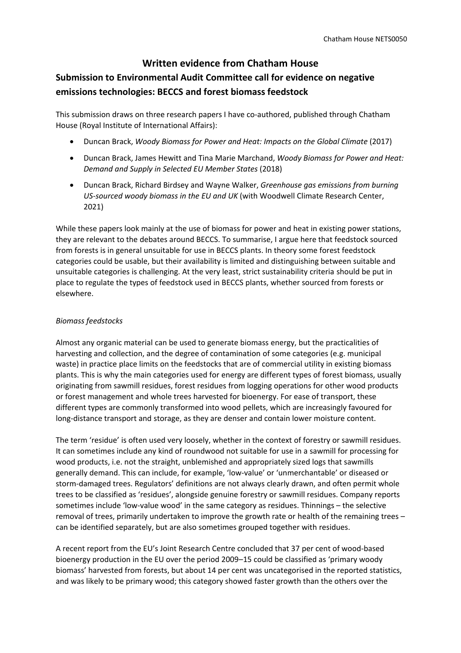# **Written evidence from Chatham House**

# **Submission to Environmental Audit Committee call for evidence on negative emissions technologies: BECCS and forest biomass feedstock**

This submission draws on three research papers I have co-authored, published through Chatham House (Royal Institute of International Affairs):

- Duncan Brack, *Woody Biomass for Power and Heat: Impacts on the Global Climate* (2017)
- Duncan Brack, James Hewitt and Tina Marie Marchand, *Woody Biomass for Power and Heat: Demand and Supply in Selected EU Member States* (2018)
- Duncan Brack, Richard Birdsey and Wayne Walker, *Greenhouse gas emissions from burning US-sourced woody biomass in the EU and UK* (with Woodwell Climate Research Center, 2021)

While these papers look mainly at the use of biomass for power and heat in existing power stations, they are relevant to the debates around BECCS. To summarise, I argue here that feedstock sourced from forests is in general unsuitable for use in BECCS plants. In theory some forest feedstock categories could be usable, but their availability is limited and distinguishing between suitable and unsuitable categories is challenging. At the very least, strict sustainability criteria should be put in place to regulate the types of feedstock used in BECCS plants, whether sourced from forests or elsewhere.

### *Biomass feedstocks*

Almost any organic material can be used to generate biomass energy, but the practicalities of harvesting and collection, and the degree of contamination of some categories (e.g. municipal waste) in practice place limits on the feedstocks that are of commercial utility in existing biomass plants. This is why the main categories used for energy are different types of forest biomass, usually originating from sawmill residues, forest residues from logging operations for other wood products or forest management and whole trees harvested for bioenergy. For ease of transport, these different types are commonly transformed into wood pellets, which are increasingly favoured for long-distance transport and storage, as they are denser and contain lower moisture content.

The term 'residue' is often used very loosely, whether in the context of forestry or sawmill residues. It can sometimes include any kind of roundwood not suitable for use in a sawmill for processing for wood products, i.e. not the straight, unblemished and appropriately sized logs that sawmills generally demand. This can include, for example, 'low-value' or 'unmerchantable' or diseased or storm-damaged trees. Regulators' definitions are not always clearly drawn, and often permit whole trees to be classified as 'residues', alongside genuine forestry or sawmill residues. Company reports sometimes include 'low-value wood' in the same category as residues. Thinnings - the selective removal of trees, primarily undertaken to improve the growth rate or health of the remaining trees – can be identified separately, but are also sometimes grouped together with residues.

A recent report from the EU's Joint Research Centre concluded that 37 per cent of wood-based bioenergy production in the EU over the period 2009–15 could be classified as 'primary woody biomass' harvested from forests, but about 14 per cent was uncategorised in the reported statistics, and was likely to be primary wood; this category showed faster growth than the others over the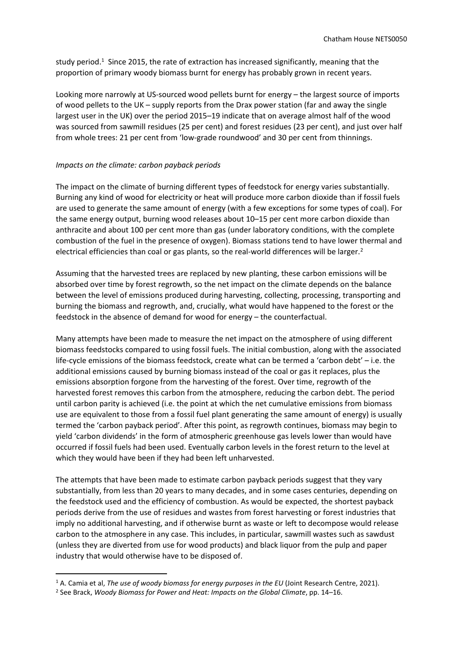study period.<sup>1</sup> Since 2015, the rate of extraction has increased significantly, meaning that the proportion of primary woody biomass burnt for energy has probably grown in recent years.

Looking more narrowly at US-sourced wood pellets burnt for energy – the largest source of imports of wood pellets to the UK – supply reports from the Drax power station (far and away the single largest user in the UK) over the period 2015–19 indicate that on average almost half of the wood was sourced from sawmill residues (25 per cent) and forest residues (23 per cent), and just over half from whole trees: 21 per cent from 'low-grade roundwood' and 30 per cent from thinnings.

## *Impacts on the climate: carbon payback periods*

The impact on the climate of burning different types of feedstock for energy varies substantially. Burning any kind of wood for electricity or heat will produce more carbon dioxide than if fossil fuels are used to generate the same amount of energy (with a few exceptions for some types of coal). For the same energy output, burning wood releases about 10–15 per cent more carbon dioxide than anthracite and about 100 per cent more than gas (under laboratory conditions, with the complete combustion of the fuel in the presence of oxygen). Biomass stations tend to have lower thermal and electrical efficiencies than coal or gas plants, so the real-world differences will be larger.<sup>2</sup>

Assuming that the harvested trees are replaced by new planting, these carbon emissions will be absorbed over time by forest regrowth, so the net impact on the climate depends on the balance between the level of emissions produced during harvesting, collecting, processing, transporting and burning the biomass and regrowth, and, crucially, what would have happened to the forest or the feedstock in the absence of demand for wood for energy – the counterfactual.

Many attempts have been made to measure the net impact on the atmosphere of using different biomass feedstocks compared to using fossil fuels. The initial combustion, along with the associated life-cycle emissions of the biomass feedstock, create what can be termed a 'carbon debt' – i.e. the additional emissions caused by burning biomass instead of the coal or gas it replaces, plus the emissions absorption forgone from the harvesting of the forest. Over time, regrowth of the harvested forest removes this carbon from the atmosphere, reducing the carbon debt. The period until carbon parity is achieved (i.e. the point at which the net cumulative emissions from biomass use are equivalent to those from a fossil fuel plant generating the same amount of energy) is usually termed the 'carbon payback period'. After this point, as regrowth continues, biomass may begin to yield 'carbon dividends' in the form of atmospheric greenhouse gas levels lower than would have occurred if fossil fuels had been used. Eventually carbon levels in the forest return to the level at which they would have been if they had been left unharvested.

The attempts that have been made to estimate carbon payback periods suggest that they vary substantially, from less than 20 years to many decades, and in some cases centuries, depending on the feedstock used and the efficiency of combustion. As would be expected, the shortest payback periods derive from the use of residues and wastes from forest harvesting or forest industries that imply no additional harvesting, and if otherwise burnt as waste or left to decompose would release carbon to the atmosphere in any case. This includes, in particular, sawmill wastes such as sawdust (unless they are diverted from use for wood products) and black liquor from the pulp and paper industry that would otherwise have to be disposed of.

<sup>1</sup> A. Camia et al, *The use of woody biomass for energy purposes in the EU* (Joint Research Centre, 2021).

<sup>2</sup> See Brack, *Woody Biomass for Power and Heat: Impacts on the Global Climate*, pp. 14–16.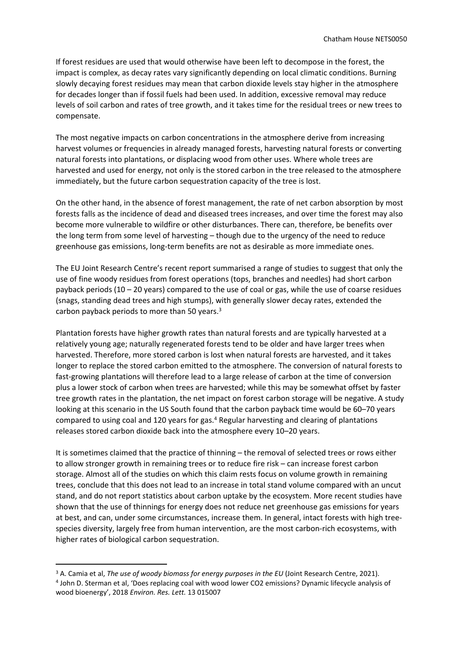If forest residues are used that would otherwise have been left to decompose in the forest, the impact is complex, as decay rates vary significantly depending on local climatic conditions. Burning slowly decaying forest residues may mean that carbon dioxide levels stay higher in the atmosphere for decades longer than if fossil fuels had been used. In addition, excessive removal may reduce levels of soil carbon and rates of tree growth, and it takes time for the residual trees or new trees to compensate.

The most negative impacts on carbon concentrations in the atmosphere derive from increasing harvest volumes or frequencies in already managed forests, harvesting natural forests or converting natural forests into plantations, or displacing wood from other uses. Where whole trees are harvested and used for energy, not only is the stored carbon in the tree released to the atmosphere immediately, but the future carbon sequestration capacity of the tree is lost.

On the other hand, in the absence of forest management, the rate of net carbon absorption by most forests falls as the incidence of dead and diseased trees increases, and over time the forest may also become more vulnerable to wildfire or other disturbances. There can, therefore, be benefits over the long term from some level of harvesting – though due to the urgency of the need to reduce greenhouse gas emissions, long-term benefits are not as desirable as more immediate ones.

The EU Joint Research Centre's recent report summarised a range of studies to suggest that only the use of fine woody residues from forest operations (tops, branches and needles) had short carbon payback periods (10 – 20 years) compared to the use of coal or gas, while the use of coarse residues (snags, standing dead trees and high stumps), with generally slower decay rates, extended the carbon payback periods to more than 50 years.<sup>3</sup>

Plantation forests have higher growth rates than natural forests and are typically harvested at a relatively young age; naturally regenerated forests tend to be older and have larger trees when harvested. Therefore, more stored carbon is lost when natural forests are harvested, and it takes longer to replace the stored carbon emitted to the atmosphere. The conversion of natural forests to fast-growing plantations will therefore lead to a large release of carbon at the time of conversion plus a lower stock of carbon when trees are harvested; while this may be somewhat offset by faster tree growth rates in the plantation, the net impact on forest carbon storage will be negative. A study looking at this scenario in the US South found that the carbon payback time would be 60–70 years compared to using coal and 120 years for gas.<sup>4</sup> Regular harvesting and clearing of plantations releases stored carbon dioxide back into the atmosphere every 10–20 years.

It is sometimes claimed that the practice of thinning – the removal of selected trees or rows either to allow stronger growth in remaining trees or to reduce fire risk – can increase forest carbon storage. Almost all of the studies on which this claim rests focus on volume growth in remaining trees, conclude that this does not lead to an increase in total stand volume compared with an uncut stand, and do not report statistics about carbon uptake by the ecosystem. More recent studies have shown that the use of thinnings for energy does not reduce net greenhouse gas emissions for years at best, and can, under some circumstances, increase them. In general, intact forests with high treespecies diversity, largely free from human intervention, are the most carbon-rich ecosystems, with higher rates of biological carbon sequestration.

<sup>3</sup> A. Camia et al, *The use of woody biomass for energy purposes in the EU* (Joint Research Centre, 2021). 4 John D. Sterman et al, 'Does replacing coal with wood lower CO2 emissions? Dynamic lifecycle analysis of wood bioenergy', 2018 *Environ. Res. Lett.* 13 015007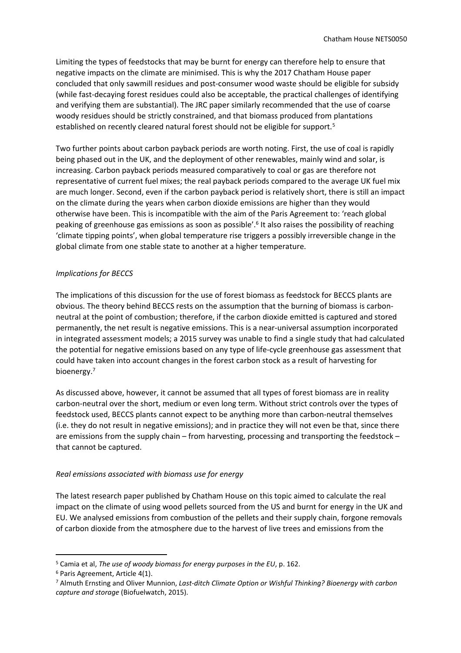Limiting the types of feedstocks that may be burnt for energy can therefore help to ensure that negative impacts on the climate are minimised. This is why the 2017 Chatham House paper concluded that only sawmill residues and post-consumer wood waste should be eligible for subsidy (while fast-decaying forest residues could also be acceptable, the practical challenges of identifying and verifying them are substantial). The JRC paper similarly recommended that the use of coarse woody residues should be strictly constrained, and that biomass produced from plantations established on recently cleared natural forest should not be eligible for support.<sup>5</sup>

Two further points about carbon payback periods are worth noting. First, the use of coal is rapidly being phased out in the UK, and the deployment of other renewables, mainly wind and solar, is increasing. Carbon payback periods measured comparatively to coal or gas are therefore not representative of current fuel mixes; the real payback periods compared to the average UK fuel mix are much longer. Second, even if the carbon payback period is relatively short, there is still an impact on the climate during the years when carbon dioxide emissions are higher than they would otherwise have been. This is incompatible with the aim of the Paris Agreement to: 'reach global peaking of greenhouse gas emissions as soon as possible'.<sup>6</sup> It also raises the possibility of reaching 'climate tipping points', when global temperature rise triggers a possibly irreversible change in the global climate from one stable state to another at a higher temperature.

# *Implications for BECCS*

The implications of this discussion for the use of forest biomass as feedstock for BECCS plants are obvious. The theory behind BECCS rests on the assumption that the burning of biomass is carbonneutral at the point of combustion; therefore, if the carbon dioxide emitted is captured and stored permanently, the net result is negative emissions. This is a near-universal assumption incorporated in integrated assessment models; a 2015 survey was unable to find a single study that had calculated the potential for negative emissions based on any type of life-cycle greenhouse gas assessment that could have taken into account changes in the forest carbon stock as a result of harvesting for bioenergy.<sup>7</sup>

As discussed above, however, it cannot be assumed that all types of forest biomass are in reality carbon-neutral over the short, medium or even long term. Without strict controls over the types of feedstock used, BECCS plants cannot expect to be anything more than carbon-neutral themselves (i.e. they do not result in negative emissions); and in practice they will not even be that, since there are emissions from the supply chain – from harvesting, processing and transporting the feedstock – that cannot be captured.

### *Real emissions associated with biomass use for energy*

The latest research paper published by Chatham House on this topic aimed to calculate the real impact on the climate of using wood pellets sourced from the US and burnt for energy in the UK and EU. We analysed emissions from combustion of the pellets and their supply chain, forgone removals of carbon dioxide from the atmosphere due to the harvest of live trees and emissions from the

<sup>5</sup> Camia et al, *The use of woody biomass for energy purposes in the EU*, p. 162.

<sup>6</sup> Paris Agreement, Article 4(1).

<sup>7</sup> Almuth Ernsting and Oliver Munnion, *Last-ditch Climate Option or Wishful Thinking? Bioenergy with carbon capture and storage* (Biofuelwatch, 2015).